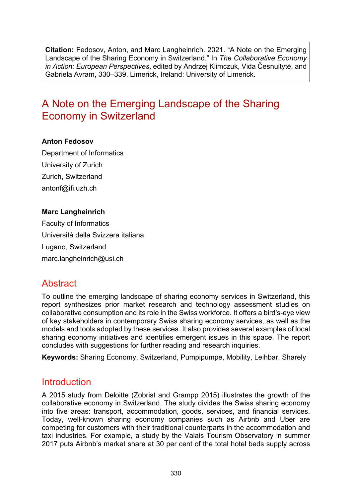**Citation:** Fedosov, Anton, and Marc Langheinrich. 2021. "A Note on the Emerging Landscape of the Sharing Economy in Switzerland." In *The Collaborative Economy in Action: European Perspectives*, edited by Andrzej Klimczuk, Vida Česnuitytė, and Gabriela Avram, 330–339. Limerick, Ireland: University of Limerick.

# A Note on the Emerging Landscape of the Sharing Economy in Switzerland

#### **Anton Fedosov**

Department of Informatics University of Zurich Zurich, Switzerland [antonf@ifi.uzh.ch](mailto:antonf@ifi.uzh.ch)

#### **Marc Langheinrich**

Faculty of Informatics Università della Svizzera italiana Lugano, Switzerland [marc.langheinrich@usi.ch](mailto:marc.langheinrich@usi.ch)

### **Abstract**

To outline the emerging landscape of sharing economy services in Switzerland, this report synthesizes prior market research and technology assessment studies on collaborative consumption and its role in the Swiss workforce. It offers a bird's-eye view of key stakeholders in contemporary Swiss sharing economy services, as well as the models and tools adopted by these services. It also provides several examples of local sharing economy initiatives and identifies emergent issues in this space. The report concludes with suggestions for further reading and research inquiries.

**Keywords:** Sharing Economy, Switzerland, Pumpipumpe, Mobility, Leihbar, Sharely

### Introduction

A 2015 study from Deloitte (Zobrist and Grampp 2015) illustrates the growth of the collaborative economy in Switzerland. The study divides the Swiss sharing economy into five areas: transport, accommodation, goods, services, and financial services. Today, well-known sharing economy companies such as Airbnb and Uber are competing for customers with their traditional counterparts in the accommodation and taxi industries. For example, a study by the Valais Tourism Observatory in summer 2017 puts Airbnb's market share at 30 per cent of the total hotel beds supply across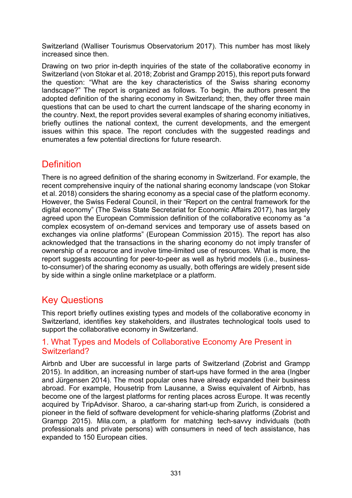Switzerland (Walliser Tourismus Observatorium 2017). This number has most likely increased since then.

Drawing on two prior in-depth inquiries of the state of the collaborative economy in Switzerland (von Stokar et al. 2018; Zobrist and Grampp 2015), this report puts forward the question: "What are the key characteristics of the Swiss sharing economy landscape?" The report is organized as follows. To begin, the authors present the adopted definition of the sharing economy in Switzerland; then, they offer three main questions that can be used to chart the current landscape of the sharing economy in the country. Next, the report provides several examples of sharing economy initiatives, briefly outlines the national context, the current developments, and the emergent issues within this space. The report concludes with the suggested readings and enumerates a few potential directions for future research.

### **Definition**

There is no agreed definition of the sharing economy in Switzerland. For example, the recent comprehensive inquiry of the national sharing economy landscape (von Stokar et al. 2018) considers the sharing economy as a special case of the platform economy. However, the Swiss Federal Council, in their "Report on the central framework for the digital economy" (The Swiss State Secretariat for Economic Affairs 2017), has largely agreed upon the European Commission definition of the collaborative economy as "a complex ecosystem of on-demand services and temporary use of assets based on exchanges via online platforms" (European Commission 2015). The report has also acknowledged that the transactions in the sharing economy do not imply transfer of ownership of a resource and involve time-limited use of resources. What is more, the report suggests accounting for peer-to-peer as well as hybrid models (i.e., businessto-consumer) of the sharing economy as usually, both offerings are widely present side by side within a single online marketplace or a platform.

# Key Questions

This report briefly outlines existing types and models of the collaborative economy in Switzerland, identifies key stakeholders, and illustrates technological tools used to support the collaborative economy in Switzerland.

#### 1. What Types and Models of Collaborative Economy Are Present in Switzerland?

Airbnb and Uber are successful in large parts of Switzerland (Zobrist and Grampp 2015). In addition, an increasing number of start-ups have formed in the area (Ingber and Jürgensen 2014). The most popular ones have already expanded their business abroad. For example, Housetrip from Lausanne, a Swiss equivalent of Airbnb, has become one of the largest platforms for renting places across Europe. It was recently acquired by TripAdvisor. Sharoo, a car-sharing start-up from Zurich, is considered a pioneer in the field of software development for vehicle-sharing platforms (Zobrist and Grampp 2015). Mila.com, a platform for matching tech-savvy individuals (both professionals and private persons) with consumers in need of tech assistance, has expanded to 150 European cities.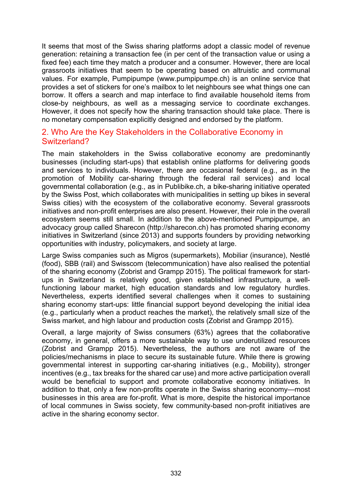It seems that most of the Swiss sharing platforms adopt a classic model of revenue generation: retaining a transaction fee (in per cent of the transaction value or using a fixed fee) each time they match a producer and a consumer. However, there are local grassroots initiatives that seem to be operating based on altruistic and communal values. For example, Pumpipumpe ([www.pumpipumpe.ch\)](https://www.pumpipumpe.ch/) is an online service that provides a set of stickers for one's mailbox to let neighbours see what things one can borrow. It offers a search and map interface to find available household items from close-by neighbours, as well as a messaging service to coordinate exchanges. However, it does not specify how the sharing transaction should take place. There is no monetary compensation explicitly designed and endorsed by the platform.

#### 2. Who Are the Key Stakeholders in the Collaborative Economy in Switzerland?

The main stakeholders in the Swiss collaborative economy are predominantly businesses (including start-ups) that establish online platforms for delivering goods and services to individuals. However, there are occasional federal (e.g., as in the promotion of Mobility car-sharing through the federal rail services) and local governmental collaboration (e.g., as in Publibike.ch, a bike-sharing initiative operated by the Swiss Post, which collaborates with municipalities in setting up bikes in several Swiss cities) with the ecosystem of the collaborative economy. Several grassroots initiatives and non-profit enterprises are also present. However, their role in the overall ecosystem seems still small. In addition to the above-mentioned Pumpipumpe, an advocacy group called Sharecon (http://sharecon.ch) has promoted sharing economy initiatives in Switzerland (since 2013) and supports founders by providing networking opportunities with industry, policymakers, and society at large.

Large Swiss companies such as Migros (supermarkets), Mobiliar (insurance), Nestlé (food), SBB (rail) and Swisscom (telecommunication) have also realised the potential of the sharing economy (Zobrist and Grampp 2015). The political framework for startups in Switzerland is relatively good, given established infrastructure, a wellfunctioning labour market, high education standards and low regulatory hurdles. Nevertheless, experts identified several challenges when it comes to sustaining sharing economy start-ups: little financial support beyond developing the initial idea (e.g., particularly when a product reaches the market), the relatively small size of the Swiss market, and high labour and production costs (Zobrist and Grampp 2015).

Overall, a large majority of Swiss consumers (63%) agrees that the collaborative economy, in general, offers a more sustainable way to use underutilized resources (Zobrist and Grampp 2015). Nevertheless, the authors are not aware of the policies/mechanisms in place to secure its sustainable future. While there is growing governmental interest in supporting car-sharing initiatives (e.g., Mobility), stronger incentives (e.g., tax breaks for the shared car use) and more active participation overall would be beneficial to support and promote collaborative economy initiatives. In addition to that, only a few non-profits operate in the Swiss sharing economy—most businesses in this area are for-profit. What is more, despite the historical importance of local communes in Swiss society, few community-based non-profit initiatives are active in the sharing economy sector.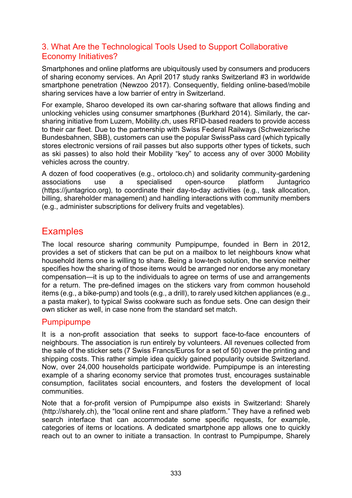#### 3. What Are the Technological Tools Used to Support Collaborative Economy Initiatives?

Smartphones and online platforms are ubiquitously used by consumers and producers of sharing economy services. An April 2017 study ranks Switzerland #3 in worldwide smartphone penetration (Newzoo 2017). Consequently, fielding online-based/mobile sharing services have a low barrier of entry in Switzerland.

For example, Sharoo developed its own car-sharing software that allows finding and unlocking vehicles using consumer smartphones (Burkhard 2014). Similarly, the carsharing initiative from Luzern, Mobility.ch, uses RFID-based readers to provide access to their car fleet. Due to the partnership with Swiss Federal Railways (Schweizerische Bundesbahnen, SBB), customers can use the popular SwissPass card (which typically stores electronic versions of rail passes but also supports other types of tickets, such as ski passes) to also hold their Mobility "key" to access any of over 3000 Mobility vehicles across the country.

A dozen of food cooperatives (e.g., ortoloco.ch) and solidarity community-gardening associations use a specialised open-source platform Juntagrico [\(https://juntagrico.org\)](https://juntagrico.org/), to coordinate their day-to-day activities (e.g., task allocation, billing, shareholder management) and handling interactions with community members (e.g., administer subscriptions for delivery fruits and vegetables).

## **Examples**

The local resource sharing community Pumpipumpe, founded in Bern in 2012, provides a set of stickers that can be put on a mailbox to let neighbours know what household items one is willing to share. Being a low-tech solution, the service neither specifies how the sharing of those items would be arranged nor endorse any monetary compensation—it is up to the individuals to agree on terms of use and arrangements for a return. The pre-defined images on the stickers vary from common household items (e.g., a bike-pump) and tools (e.g., a drill), to rarely used kitchen appliances (e.g., a pasta maker), to typical Swiss cookware such as fondue sets. One can design their own sticker as well, in case none from the standard set match.

#### Pumpipumpe

It is a non-profit association that seeks to support face-to-face encounters of neighbours. The association is run entirely by volunteers. All revenues collected from the sale of the sticker sets (7 Swiss Francs/Euros for a set of 50) cover the printing and shipping costs. This rather simple idea quickly gained popularity outside Switzerland. Now, over 24,000 households participate worldwide. Pumpipumpe is an interesting example of a sharing economy service that promotes trust, encourages sustainable consumption, facilitates social encounters, and fosters the development of local communities.

Note that a for-profit version of Pumpipumpe also exists in Switzerland: Sharely (http://sharely.ch), the "local online rent and share platform." They have a refined web search interface that can accommodate some specific requests, for example, categories of items or locations. A dedicated smartphone app allows one to quickly reach out to an owner to initiate a transaction. In contrast to Pumpipumpe, Sharely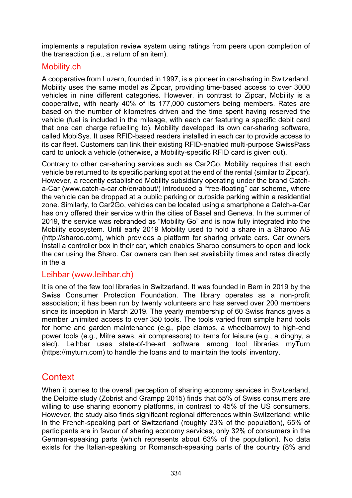implements a reputation review system using ratings from peers upon completion of the transaction (i.e., a return of an item).

#### Mobility.ch

A cooperative from Luzern, founded in 1997, is a pioneer in car-sharing in Switzerland. Mobility uses the same model as Zipcar, providing time-based access to over 3000 vehicles in nine different categories. However, in contrast to Zipcar, Mobility is a cooperative, with nearly 40% of its 177,000 customers being members. Rates are based on the number of kilometres driven and the time spent having reserved the vehicle (fuel is included in the mileage, with each car featuring a specific debit card that one can charge refuelling to). Mobility developed its own car-sharing software, called MobiSys. It uses RFID-based readers installed in each car to provide access to its car fleet. Customers can link their existing RFID-enabled multi-purpose SwissPass card to unlock a vehicle (otherwise, a Mobility-specific RFID card is given out).

Contrary to other car-sharing services such as Car2Go, Mobility requires that each vehicle be returned to its specific parking spot at the end of the rental (similar to Zipcar). However, a recently established Mobility subsidiary operating under the brand Catcha-Car (www.catch-a-[car.ch/en/about/\)](https://www.catch-a-car.ch/en/about/) introduced a "free-floating" car scheme, where the vehicle can be dropped at a public parking or curbside parking within a residential zone. Similarly, to Car2Go, vehicles can be located using a smartphone a Catch-a-Car has only offered their service within the cities of Basel and Geneva. In the summer of 2019, the service was rebranded as "Mobility Go" and is now fully integrated into the Mobility ecosystem. Until early 2019 Mobility used to hold a share in a Sharoo AG [\(http://sharoo.com\)](http://sharoo.com/), which provides a platform for sharing private cars. Car owners install a controller box in their car, which enables Sharoo consumers to open and lock the car using the Sharo. Car owners can then set availability times and rates directly in the a

#### Leihbar (www[.leihbar.ch](https://www.leihbar.ch/))

It is one of the few tool libraries in Switzerland. It was founded in Bern in 2019 by the Swiss Consumer Protection Foundation. The library operates as a non-profit association; it has been run by twenty volunteers and has served over 200 members since its inception in March 2019. The yearly membership of 60 Swiss francs gives a member unlimited access to over 350 tools. The tools varied from simple hand tools for home and garden maintenance (e.g., pipe clamps, a wheelbarrow) to high-end power tools (e.g., Mitre saws, air compressors) to items for leisure (e.g., a dinghy, a sled). Leihbar uses state-of-the-art software among tool libraries myTurn (https://myturn.com) to handle the loans and to maintain the tools' inventory.

# **Context**

When it comes to the overall perception of sharing economy services in Switzerland, the Deloitte study (Zobrist and Grampp 2015) finds that 55% of Swiss consumers are willing to use sharing economy platforms, in contrast to 45% of the US consumers. However, the study also finds significant regional differences within Switzerland: while in the French-speaking part of Switzerland (roughly 23% of the population), 65% of participants are in favour of sharing economy services, only 32% of consumers in the German-speaking parts (which represents about 63% of the population). No data exists for the Italian-speaking or Romansch-speaking parts of the country (8% and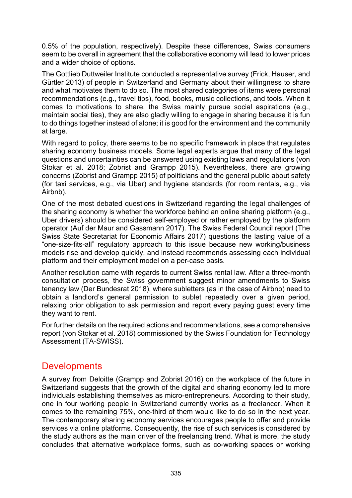0.5% of the population, respectively). Despite these differences, Swiss consumers seem to be overall in agreement that the collaborative economy will lead to lower prices and a wider choice of options.

The Gottlieb Duttweiler Institute conducted a representative survey (Frick, Hauser, and Gürtler 2013) of people in Switzerland and Germany about their willingness to share and what motivates them to do so. The most shared categories of items were personal recommendations (e.g., travel tips), food, books, music collections, and tools. When it comes to motivations to share, the Swiss mainly pursue social aspirations (e.g., maintain social ties), they are also gladly willing to engage in sharing because it is fun to do things together instead of alone; it is good for the environment and the community at large.

With regard to policy, there seems to be no specific framework in place that regulates sharing economy business models. Some legal experts argue that many of the legal questions and uncertainties can be answered using existing laws and regulations (von Stokar et al. 2018; Zobrist and Grampp 2015). Nevertheless, there are growing concerns (Zobrist and Grampp 2015) of politicians and the general public about safety (for taxi services, e.g., via Uber) and hygiene standards (for room rentals, e.g., via Airbnb).

One of the most debated questions in Switzerland regarding the legal challenges of the sharing economy is whether the workforce behind an online sharing platform (e.g., Uber drivers) should be considered self-employed or rather employed by the platform operator (Auf der Maur and Gassmann 2017). The Swiss Federal Council report (The Swiss State Secretariat for Economic Affairs 2017) questions the lasting value of a "one-size-fits-all" regulatory approach to this issue because new working/business models rise and develop quickly, and instead recommends assessing each individual platform and their employment model on a per-case basis.

Another resolution came with regards to current Swiss rental law. After a three-month consultation process, the Swiss government suggest minor amendments to Swiss tenancy law (Der Bundesrat 2018), where subletters (as in the case of Airbnb) need to obtain a landlord's general permission to sublet repeatedly over a given period, relaxing prior obligation to ask permission and report every paying guest every time they want to rent.

For further details on the required actions and recommendations, see a comprehensive report (von Stokar et al. 2018) commissioned by the Swiss Foundation for Technology Assessment (TA-SWISS).

## **Developments**

A survey from Deloitte (Grampp and Zobrist 2016) on the workplace of the future in Switzerland suggests that the growth of the digital and sharing economy led to more individuals establishing themselves as micro-entrepreneurs. According to their study, one in four working people in Switzerland currently works as a freelancer. When it comes to the remaining 75%, one-third of them would like to do so in the next year. The contemporary sharing economy services encourages people to offer and provide services via online platforms. Consequently, the rise of such services is considered by the study authors as the main driver of the freelancing trend. What is more, the study concludes that alternative workplace forms, such as co-working spaces or working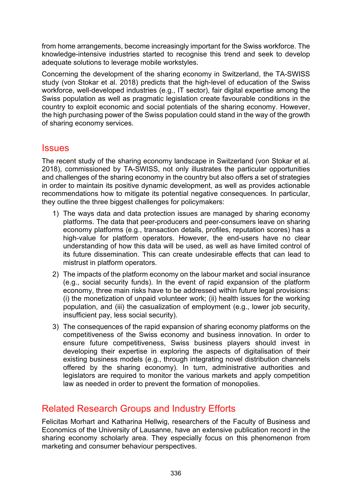from home arrangements, become increasingly important for the Swiss workforce. The knowledge-intensive industries started to recognise this trend and seek to develop adequate solutions to leverage mobile workstyles.

Concerning the development of the sharing economy in Switzerland, the TA-SWISS study (von Stokar et al. 2018) predicts that the high-level of education of the Swiss workforce, well-developed industries (e.g., IT sector), fair digital expertise among the Swiss population as well as pragmatic legislation create favourable conditions in the country to exploit economic and social potentials of the sharing economy. However, the high purchasing power of the Swiss population could stand in the way of the growth of sharing economy services.

### **Issues**

The recent study of the sharing economy landscape in Switzerland (von Stokar et al. 2018), commissioned by TA-SWISS, not only illustrates the particular opportunities and challenges of the sharing economy in the country but also offers a set of strategies in order to maintain its positive dynamic development, as well as provides actionable recommendations how to mitigate its potential negative consequences. In particular, they outline the three biggest challenges for policymakers:

- 1) The ways data and data protection issues are managed by sharing economy platforms. The data that peer-producers and peer-consumers leave on sharing economy platforms (e.g., transaction details, profiles, reputation scores) has a high-value for platform operators. However, the end-users have no clear understanding of how this data will be used, as well as have limited control of its future dissemination. This can create undesirable effects that can lead to mistrust in platform operators.
- 2) The impacts of the platform economy on the labour market and social insurance (e.g., social security funds). In the event of rapid expansion of the platform economy, three main risks have to be addressed within future legal provisions: (i) the monetization of unpaid volunteer work; (ii) health issues for the working population, and (iii) the casualization of employment (e.g., lower job security, insufficient pay, less social security).
- 3) The consequences of the rapid expansion of sharing economy platforms on the competitiveness of the Swiss economy and business innovation. In order to ensure future competitiveness, Swiss business players should invest in developing their expertise in exploring the aspects of digitalisation of their existing business models (e.g., through integrating novel distribution channels offered by the sharing economy). In turn, administrative authorities and legislators are required to monitor the various markets and apply competition law as needed in order to prevent the formation of monopolies.

## Related Research Groups and Industry Efforts

Felicitas Morhart and Katharina Hellwig, researchers of the Faculty of Business and Economics of the University of Lausanne, have an extensive publication record in the sharing economy scholarly area. They especially focus on this phenomenon from marketing and consumer behaviour perspectives.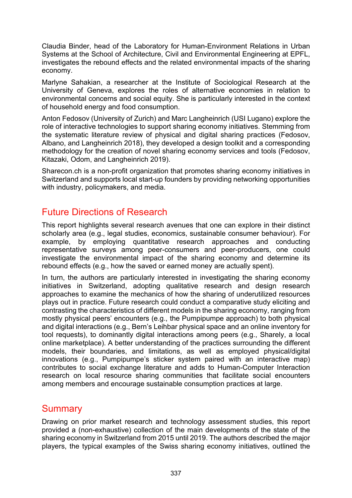Claudia Binder, head of the Laboratory for Human-Environment Relations in Urban Systems at the School of Architecture, Civil and Environmental Engineering at EPFL, investigates the rebound effects and the related environmental impacts of the sharing economy.

Marlyne Sahakian, a researcher at the Institute of Sociological Research at the University of Geneva, explores the roles of alternative economies in relation to environmental concerns and social equity. She is particularly interested in the context of household energy and food consumption.

[Anton Fedosov](https://www.ifi.uzh.ch/en/zpac/people/anton.html) (University of Zurich) and [Marc Langheinrich](https://uc.inf.usi.ch/team/langheinrich/) (USI Lugano) explore the role of interactive technologies to support sharing economy initiatives. Stemming from the systematic literature review of physical and digital sharing practices (Fedosov, Albano, and Langheinrich 2018), they developed a design toolkit and a corresponding methodology for the creation of novel sharing economy services and tools (Fedosov, Kitazaki, Odom, and Langheinrich 2019).

Sharecon.ch is a non-profit organization that promotes sharing economy initiatives in Switzerland and supports local start-up founders by providing networking opportunities with industry, policymakers, and media.

# Future Directions of Research

This report highlights several research avenues that one can explore in their distinct scholarly area (e.g., legal studies, economics, sustainable consumer behaviour). For example, by employing quantitative research approaches and conducting representative surveys among peer-consumers and peer-producers, one could investigate the environmental impact of the sharing economy and determine its rebound effects (e.g., how the saved or earned money are actually spent).

In turn, the authors are particularly interested in investigating the sharing economy initiatives in Switzerland, adopting qualitative research and design research approaches to examine the mechanics of how the sharing of underutilized resources plays out in practice. Future research could conduct a comparative study eliciting and contrasting the characteristics of different models in the sharing economy, ranging from mostly physical peers' encounters (e.g., the Pumpipumpe approach) to both physical and digital interactions (e.g., Bern's Leihbar physical space and an online inventory for tool requests), to dominantly digital interactions among peers (e.g., Sharely, a local online marketplace). A better understanding of the practices surrounding the different models, their boundaries, and limitations, as well as employed physical/digital innovations (e.g., Pumpipumpe's sticker system paired with an interactive map) contributes to social exchange literature and adds to Human-Computer Interaction research on local resource sharing communities that facilitate social encounters among members and encourage sustainable consumption practices at large.

### **Summary**

Drawing on prior market research and technology assessment studies, this report provided a (non-exhaustive) collection of the main developments of the state of the sharing economy in Switzerland from 2015 until 2019. The authors described the major players, the typical examples of the Swiss sharing economy initiatives, outlined the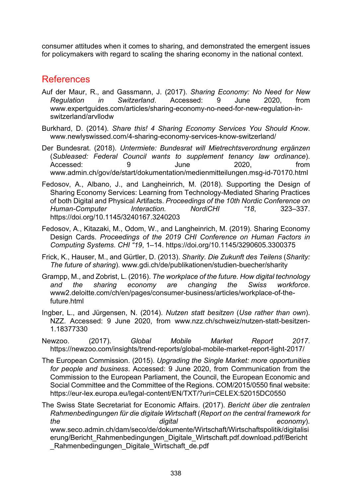consumer attitudes when it comes to sharing, and demonstrated the emergent issues for policymakers with regard to scaling the sharing economy in the national context.

### References

- Auf der Maur, R., and Gassmann, J. (2017). *Sharing Economy: No Need for New Regulation in Switzerland*. Accessed: 9 June 2020, from www.expertguides.com/articles/sharing-economy-no-need-for-new-regulation-inswitzerland/arvllodw
- Burkhard, D. (2014). *Share this! 4 Sharing Economy Services You Should Know*. www.newlyswissed.com/4-sharing-economy-services-know-switzerland/
- Der Bundesrat. (2018). *Untermiete: Bundesrat will Mietrechtsverordnung ergänzen* (*Subleased: Federal Council wants to supplement tenancy law ordinance*). Accessed: 9 9 June 2020. from www.admin.ch/gov/de/start/dokumentation/medienmitteilungen.msg-id-70170.html
- Fedosov, A., Albano, J., and Langheinrich, M. (2018). Supporting the Design of Sharing Economy Services: Learning from Technology-Mediated Sharing Practices of both Digital and Physical Artifacts. *Proceedings of the 10th Nordic Conference on Human-Computer Interaction. NordiCHI "18*, 323–337. https://doi.org/10.1145/3240167.3240203
- Fedosov, A., Kitazaki, M., Odom, W., and Langheinrich, M. (2019). Sharing Economy Design Cards. *Proceedings of the 2019 CHI Conference on Human Factors in Computing Systems. CHI "19*, 1–14. https://doi.org/10.1145/3290605.3300375
- Frick, K., Hauser, M., and Gürtler, D. (2013). *Sharity. Die Zukunft des Teilens* (*Sharity: The future of sharing*). www.gdi.ch/de/publikationen/studien-buecher/sharity
- Grampp, M., and Zobrist, L. (2016). *The workplace of the future. How digital technology and the sharing economy are changing the Swiss workforce*. www2.deloitte.com/ch/en/pages/consumer-business/articles/workplace-of-thefuture.html
- Ingber, L., and Jürgensen, N. (2014). *Nutzen statt besitzen* (*Use rather than own*). NZZ. Accessed: 9 June 2020, from www.nzz.ch/schweiz/nutzen-statt-besitzen-1.18377330
- Newzoo. (2017). *Global Mobile Market Report 2017*. https://newzoo.com/insights/trend-reports/global-mobile-market-report-light-2017/
- The European Commission. (2015). *Upgrading the Single Market: more opportunities for people and business*. Accessed: 9 June 2020, from Communication from the Commission to the European Parliament, the Council, the European Economic and Social Committee and the Committee of the Regions. COM/2015/0550 final website: https://eur-lex.europa.eu/legal-content/EN/TXT/?uri=CELEX:52015DC0550

The Swiss State Secretariat for Economic Affairs. (2017). *Bericht über die zentralen Rahmenbedingungen für die digitale Wirtschaft* (*Report on the central framework for the digital economy*). www.seco.admin.ch/dam/seco/de/dokumente/Wirtschaft/Wirtschaftspolitik/digitalisi erung/Bericht\_Rahmenbedingungen\_Digitale\_Wirtschaft.pdf.download.pdf/Bericht \_Rahmenbedingungen\_Digitale\_Wirtschaft\_de.pdf